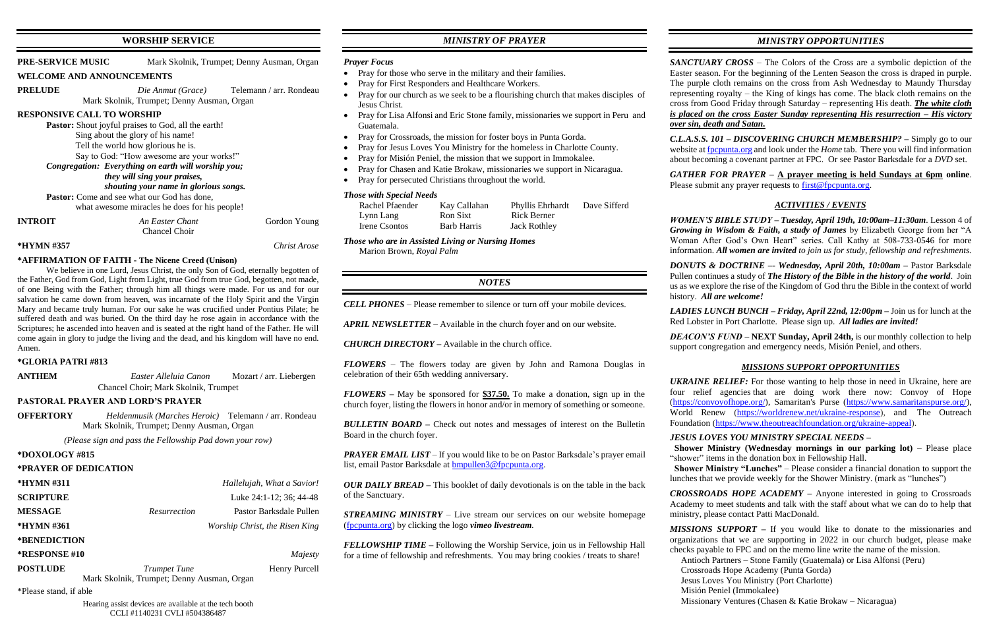## **WORSHIP SERVICE**

| PRE-SERVICE MUSIC                 | Mark Skolnik, Trumpet; Denny Ausman, Organ                 |                                                  |  |
|-----------------------------------|------------------------------------------------------------|--------------------------------------------------|--|
| <b>WELCOME AND ANNOUNCEMENTS</b>  |                                                            |                                                  |  |
| <b>PRELUDE</b>                    |                                                            | <i>Die Anmut (Grace)</i> Telemann / arr. Rondeau |  |
|                                   | Mark Skolnik, Trumpet; Denny Ausman, Organ                 |                                                  |  |
| <b>RESPONSIVE CALL TO WORSHIP</b> |                                                            |                                                  |  |
|                                   | <b>Pastor:</b> Shout joyful praises to God, all the earth! |                                                  |  |
|                                   | Sing about the glory of his name!                          |                                                  |  |
|                                   | Tell the world how glorious he is.                         |                                                  |  |
|                                   | Say to God: "How awesome are your works!"                  |                                                  |  |
|                                   | Congregation: Everything on earth will worship you;        |                                                  |  |
|                                   | <i>they will sing your praises,</i>                        |                                                  |  |
|                                   | shouting your name in glorious songs.                      |                                                  |  |
|                                   | <b>Pastor:</b> Come and see what our God has done,         |                                                  |  |
|                                   | what awesome miracles he does for his people!              |                                                  |  |
| <b>INTROIT</b>                    | An Easter Chant                                            | Gordon Young                                     |  |
|                                   | Chancel Choir                                              |                                                  |  |
| *HYMN #357                        |                                                            | Christ Arose                                     |  |

### **\*AFFIRMATION OF FAITH - The Nicene Creed (Unison)**

We believe in one Lord, Jesus Christ, the only Son of God, eternally begotten of the Father, God from God, Light from Light, true God from true God, begotten, not made, of one Being with the Father; through him all things were made. For us and for our salvation he came down from heaven, was incarnate of the Holy Spirit and the Virgin Mary and became truly human. For our sake he was crucified under Pontius Pilate; he suffered death and was buried. On the third day he rose again in accordance with the Scriptures; he ascended into heaven and is seated at the right hand of the Father. He will come again in glory to judge the living and the dead, and his kingdom will have no end. Amen.

**ANTHEM** *Easter Alleluia Canon* Mozart / arr. Liebergen Chancel Choir; Mark Skolnik, Trumpet

| *HYMN #311                                 |                     | Hallelujah, What a Savior!     |  |  |
|--------------------------------------------|---------------------|--------------------------------|--|--|
| <b>SCRIPTURE</b>                           |                     | Luke 24:1-12; 36; 44-48        |  |  |
| <b>MESSAGE</b>                             | <i>Resurrection</i> | Pastor Barksdale Pullen        |  |  |
| *HYMN #361                                 |                     | Worship Christ, the Risen King |  |  |
| *BENEDICTION                               |                     |                                |  |  |
| <b>*RESPONSE #10</b>                       |                     | Majesty                        |  |  |
| <b>POSTLUDE</b>                            | Trumpet Tune        | Henry Purcell                  |  |  |
| Mark Skolnik, Trumpet; Denny Ausman, Organ |                     |                                |  |  |
| *Please stand, if able                     |                     |                                |  |  |

### **\*GLORIA PATRI #813**

### **PASTORAL PRAYER AND LORD'S PRAYER**

**OFFERTORY** *Heldenmusik (Marches Heroic)* Telemann / arr. Rondeau Mark Skolnik, Trumpet; Denny Ausman, Organ

*(Please sign and pass the Fellowship Pad down your row)*

### **\*DOXOLOGY #815**

### **\*PRAYER OF DEDICATION**

*PRAYER EMAIL LIST* – If you would like to be on Pastor Barksdale's prayer email list, email Pastor Barksdale at [bmpullen3@fpcpunta.org.](about:blank)

Hearing assist devices are available at the tech booth CCLI #1140231 CVLI #504386487

## *MINISTRY OF PRAYER*

### *Prayer Focus*

- Pray for those who serve in the military and their families.
- Pray for First Responders and Healthcare Workers.
- Pray for our church as we seek to be a flourishing church that makes disciples of Jesus Christ.
- Pray for Lisa Alfonsi and Eric Stone family, missionaries we support in Peru and Guatemala.
- Pray for Crossroads, the mission for foster boys in Punta Gorda.
- Pray for Jesus Loves You Ministry for the homeless in Charlotte County.
- Pray for Misión Peniel, the mission that we support in Immokalee.
- Pray for Chasen and Katie Brokaw, missionaries we support in Nicaragua.
- Pray for persecuted Christians throughout the world.

*GATHER FOR PRAYER –* **A prayer meeting is held Sundays at 6pm online**. Please submit any prayer requests to [first@fpcpunta.org.](about:blank)

### *Those with Special Needs*

| Rachel Pfaender | Kay Callahan | <b>Phyllis Ehrhardt</b> | Dave Sifferd |
|-----------------|--------------|-------------------------|--------------|
| Lynn Lang       | Ron Sixt     | <b>Rick Berner</b>      |              |
| Irene Csontos   | Barb Harris  | Jack Rothley            |              |

*Those who are in Assisted Living or Nursing Homes* Marion Brown, *Royal Palm*

## *NOTES*

*CELL PHONES –* Please remember to silence or turn off your mobile devices.

*APRIL NEWSLETTER –* Available in the church foyer and on our website.

*CHURCH DIRECTORY –* Available in the church office.

*FLOWERS* – The flowers today are given by John and Ramona Douglas in celebration of their 65th wedding anniversary.

*FLOWERS –* May be sponsored for **\$37.50.** To make a donation, sign up in the church foyer, listing the flowers in honor and/or in memory of something or someone.

*BULLETIN BOARD –* Check out notes and messages of interest on the Bulletin Board in the church foyer.

*OUR DAILY BREAD –* This booklet of daily devotionals is on the table in the back of the Sanctuary.

*STREAMING MINISTRY –* Live stream our services on our website homepage [\(fpcpunta.org\)](about:blank) by clicking the logo *vimeo livestream.*

*FELLOWSHIP TIME –* Following the Worship Service, join us in Fellowship Hall for a time of fellowship and refreshments. You may bring cookies / treats to share!

## *MINISTRY OPPORTUNITIES*

*SANCTUARY CROSS* – The Colors of the Cross are a symbolic depiction of the Easter season. For the beginning of the Lenten Season the cross is draped in purple. The purple cloth remains on the cross from Ash Wednesday to Maundy Thursday representing royalty – the King of kings has come. The black cloth remains on the cross from Good Friday through Saturday – representing His death. *The white cloth is placed on the cross Easter Sunday representing His resurrection – His victory over sin, death and Satan.*

*C.L.A.S.S. 101 – DISCOVERING CHURCH MEMBERSHIP? –* Simply go to our website a[t fpcpunta.org](about:blank) and look under the *Home* tab. There you will find information about becoming a covenant partner at FPC. Or see Pastor Barksdale for a *DVD* set.

## *ACTIVITIES / EVENTS*

*WOMEN'S BIBLE STUDY – Tuesday, April 19th, 10:00am–11:30am*. Lesson 4 of *Growing in Wisdom & Faith, a study of James* by Elizabeth George from her "A Woman After God's Own Heart" series. Call Kathy at 508-733-0546 for more information. *All women are invited to join us for study, fellowship and refreshments.*

*DONUTS & DOCTRINE –*- *Wednesday, April 20th, 10:00am –* Pastor Barksdale Pullen continues a study of *The History of the Bible in the history of the world*. Join us as we explore the rise of the Kingdom of God thru the Bible in the context of world history. *All are welcome!*

*LADIES LUNCH BUNCH – Friday, April 22nd, 12:00pm –* Join us for lunch at the Red Lobster in Port Charlotte. Please sign up. *All ladies are invited!*

*DEACON'S FUND –* **NEXT Sunday, April 24th,** is our monthly collection to help support congregation and emergency needs, Misión Peniel, and others.

## *MISSIONS SUPPORT OPPORTUNITIES*

*UKRAINE RELIEF:* For those wanting to help those in need in Ukraine, here are four relief agencies that are doing work there now: Convoy of Hope [\(https://convoyofhope.org/\)](https://convoyofhope.org/), Samaritan's Purse [\(https://www.samaritanspurse.org/\)](https://www.samaritanspurse.org/), World Renew [\(https://worldrenew.net/ukraine-response\)](https://worldrenew.net/ukraine-response), and The Outreach Foundation [\(https://www.theoutreachfoundation.org/ukraine-appeal\)](https://www.theoutreachfoundation.org/ukraine-appeal).

*JESUS LOVES YOU MINISTRY SPECIAL NEEDS –*  **Shower Ministry (Wednesday mornings in our parking lot)** – Please place "shower" items in the donation box in Fellowship Hall.

 **Shower Ministry "Lunches"** – Please consider a financial donation to support the lunches that we provide weekly for the Shower Ministry. (mark as "lunches")

*CROSSROADS HOPE ACADEMY –* Anyone interested in going to Crossroads Academy to meet students and talk with the staff about what we can do to help that ministry, please contact Patti MacDonald.

*MISSIONS SUPPORT –* If you would like to donate to the missionaries and organizations that we are supporting in 2022 in our church budget, please make

checks payable to FPC and on the memo line write the name of the mission. Antioch Partners – Stone Family (Guatemala) or Lisa Alfonsi (Peru) Crossroads Hope Academy (Punta Gorda) Jesus Loves You Ministry (Port Charlotte) Misión Peniel (Immokalee) Missionary Ventures (Chasen & Katie Brokaw – Nicaragua)